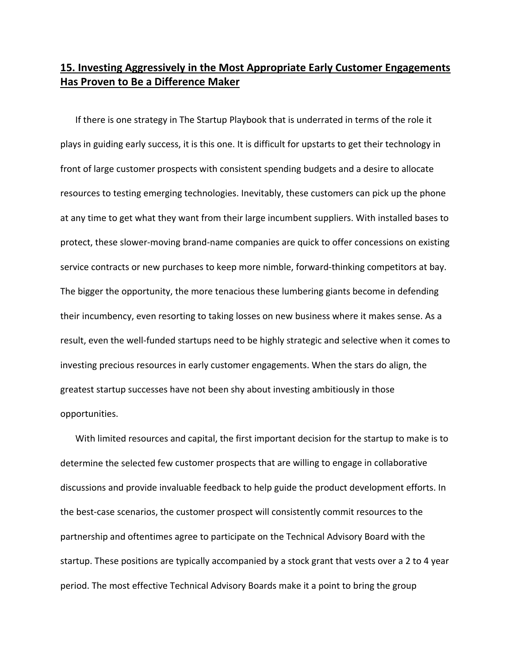## **15. Investing Aggressively in the Most Appropriate Early Customer Engagements Has Proven to Be a Difference Maker**

If there is one strategy in The Startup Playbook that is underrated in terms of the role it plays in guiding early success, it is this one. It is difficult for upstarts to get their technology in front of large customer prospects with consistent spending budgets and a desire to allocate resources to testing emerging technologies. Inevitably, these customers can pick up the phone at any time to get what they want from their large incumbent suppliers. With installed bases to protect, these slower‐moving brand‐name companies are quick to offer concessions on existing service contracts or new purchases to keep more nimble, forward-thinking competitors at bay. The bigger the opportunity, the more tenacious these lumbering giants become in defending their incumbency, even resorting to taking losses on new business where it makes sense. As a result, even the well‐funded startups need to be highly strategic and selective when it comes to investing precious resources in early customer engagements. When the stars do align, the greatest startup successes have not been shy about investing ambitiously in those opportunities.

With limited resources and capital, the first important decision for the startup to make is to determine the selected few customer prospects that are willing to engage in collaborative discussions and provide invaluable feedback to help guide the product development efforts. In the best-case scenarios, the customer prospect will consistently commit resources to the partnership and oftentimes agree to participate on the Technical Advisory Board with the startup. These positions are typically accompanied by a stock grant that vests over a 2 to 4 year period. The most effective Technical Advisory Boards make it a point to bring the group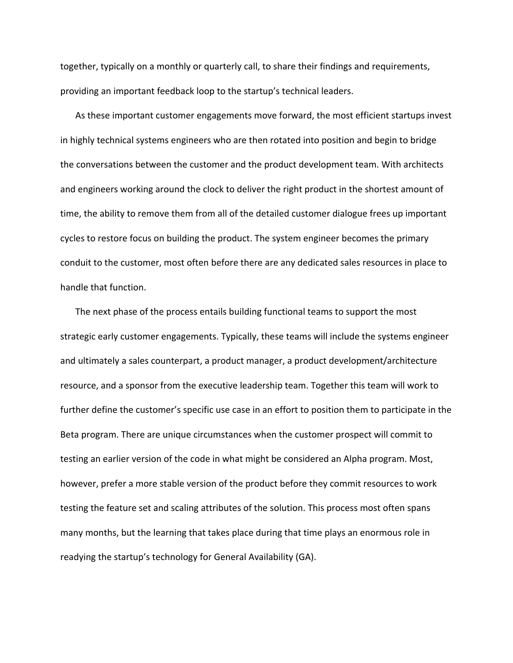together, typically on a monthly or quarterly call, to share their findings and requirements, providing an important feedback loop to the startup's technical leaders.

As these important customer engagements move forward, the most efficient startups invest in highly technical systems engineers who are then rotated into position and begin to bridge the conversations between the customer and the product development team. With architects and engineers working around the clock to deliver the right product in the shortest amount of time, the ability to remove them from all of the detailed customer dialogue frees up important cycles to restore focus on building the product. The system engineer becomes the primary conduit to the customer, most often before there are any dedicated sales resources in place to handle that function.

The next phase of the process entails building functional teams to support the most strategic early customer engagements. Typically, these teams will include the systems engineer and ultimately a sales counterpart, a product manager, a product development/architecture resource, and a sponsor from the executive leadership team. Together this team will work to further define the customer's specific use case in an effort to position them to participate in the Beta program. There are unique circumstances when the customer prospect will commit to testing an earlier version of the code in what might be considered an Alpha program. Most, however, prefer a more stable version of the product before they commit resources to work testing the feature set and scaling attributes of the solution. This process most often spans many months, but the learning that takes place during that time plays an enormous role in readying the startup's technology for General Availability (GA).